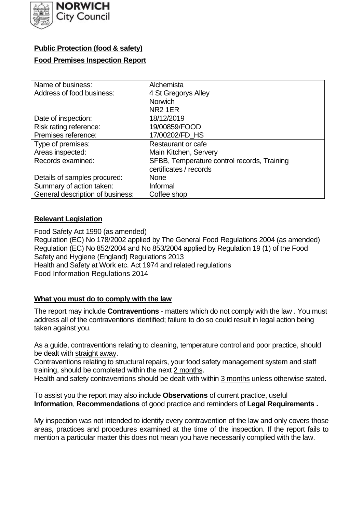

## **Public Protection (food & safety)**

#### **Food Premises Inspection Report**

| Name of business:                | Alchemista                                  |
|----------------------------------|---------------------------------------------|
| Address of food business:        | 4 St Gregorys Alley                         |
|                                  | <b>Norwich</b>                              |
|                                  | <b>NR2 1ER</b>                              |
| Date of inspection:              | 18/12/2019                                  |
| Risk rating reference:           | 19/00859/FOOD                               |
| Premises reference:              | 17/00202/FD_HS                              |
| Type of premises:                | Restaurant or cafe                          |
| Areas inspected:                 | Main Kitchen, Servery                       |
| Records examined:                | SFBB, Temperature control records, Training |
|                                  | certificates / records                      |
| Details of samples procured:     | <b>None</b>                                 |
| Summary of action taken:         | Informal                                    |
| General description of business: | Coffee shop                                 |

### **Relevant Legislation**

 Food Safety Act 1990 (as amended) Regulation (EC) No 178/2002 applied by The General Food Regulations 2004 (as amended) Regulation (EC) No 852/2004 and No 853/2004 applied by Regulation 19 (1) of the Food Safety and Hygiene (England) Regulations 2013 Health and Safety at Work etc. Act 1974 and related regulations Food Information Regulations 2014

#### **What you must do to comply with the law**

 The report may include **Contraventions** - matters which do not comply with the law . You must address all of the contraventions identified; failure to do so could result in legal action being taken against you.

 As a guide, contraventions relating to cleaning, temperature control and poor practice, should be dealt with straight away.

 Contraventions relating to structural repairs, your food safety management system and staff training, should be completed within the next 2 months.

Health and safety contraventions should be dealt with within 3 months unless otherwise stated.

 To assist you the report may also include **Observations** of current practice, useful **Information**, **Recommendations** of good practice and reminders of **Legal Requirements .** 

 My inspection was not intended to identify every contravention of the law and only covers those areas, practices and procedures examined at the time of the inspection. If the report fails to mention a particular matter this does not mean you have necessarily complied with the law.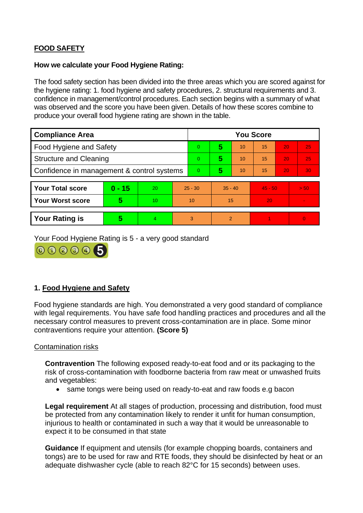# **FOOD SAFETY**

#### **How we calculate your Food Hygiene Rating:**

 The food safety section has been divided into the three areas which you are scored against for the hygiene rating: 1. food hygiene and safety procedures, 2. structural requirements and 3. confidence in management/control procedures. Each section begins with a summary of what was observed and the score you have been given. Details of how these scores combine to produce your overall food hygiene rating are shown in the table.

| <b>Compliance Area</b>                     |          |    |                | <b>You Score</b> |    |                |           |    |                |  |  |
|--------------------------------------------|----------|----|----------------|------------------|----|----------------|-----------|----|----------------|--|--|
| Food Hygiene and Safety                    |          |    |                | 0                | 5  | 10             | 15        | 20 | 25             |  |  |
| <b>Structure and Cleaning</b>              |          |    | $\Omega$       | 5                | 10 | 15             | 20        | 25 |                |  |  |
| Confidence in management & control systems |          |    | $\overline{0}$ | 5                | 10 | 15             | 20        | 30 |                |  |  |
|                                            |          |    |                |                  |    |                |           |    |                |  |  |
| <b>Your Total score</b>                    | $0 - 15$ | 20 |                | $25 - 30$        |    | $35 - 40$      | $45 - 50$ |    | > 50           |  |  |
| <b>Your Worst score</b>                    | 5        | 10 |                | 10               | 15 |                | 20        |    | $\blacksquare$ |  |  |
|                                            |          |    |                |                  |    |                |           |    |                |  |  |
| <b>Your Rating is</b>                      | 5        |    |                | 3                |    | $\overline{2}$ |           |    | $\Omega$       |  |  |

Your Food Hygiene Rating is 5 - a very good standard



## **1. Food Hygiene and Safety**

 with legal requirements. You have safe food handling practices and procedures and all the Food hygiene standards are high. You demonstrated a very good standard of compliance necessary control measures to prevent cross-contamination are in place. Some minor contraventions require your attention. **(Score 5)** 

#### Contamination risks

**Contravention** The following exposed ready-to-eat food and or its packaging to the risk of cross-contamination with foodborne bacteria from raw meat or unwashed fruits and vegetables:

• same tongs were being used on ready-to-eat and raw foods e.g bacon

 injurious to health or contaminated in such a way that it would be unreasonable to **Legal requirement** At all stages of production, processing and distribution, food must be protected from any contamination likely to render it unfit for human consumption, expect it to be consumed in that state

**Guidance** If equipment and utensils (for example chopping boards, containers and tongs) are to be used for raw and RTE foods, they should be disinfected by heat or an adequate dishwasher cycle (able to reach 82°C for 15 seconds) between uses.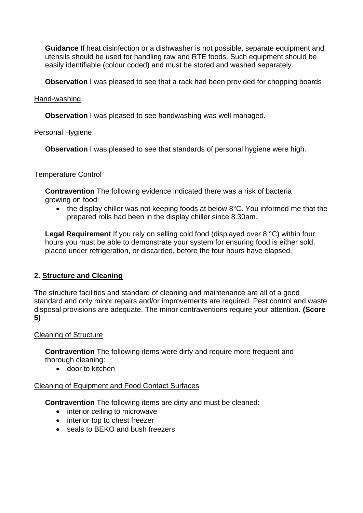**Guidance** If heat disinfection or a dishwasher is not possible, separate equipment and utensils should be used for handling raw and RTE foods. Such equipment should be easily identifiable (colour coded) and must be stored and washed separately.

**Observation** I was pleased to see that a rack had been provided for chopping boards

#### Hand-washing

**Observation** I was pleased to see handwashing was well managed.

### Personal Hygiene

**Observation** I was pleased to see that standards of personal hygiene were high.

### Temperature Control

 **Contravention** The following evidence indicated there was a risk of bacteria growing on food:

• the display chiller was not keeping foods at below 8°C. You informed me that the prepared rolls had been in the display chiller since 8.30am.

 hours you must be able to demonstrate your system for ensuring food is either sold, **Legal Requirement** If you rely on selling cold food (displayed over 8 °C) within four placed under refrigeration, or discarded, before the four hours have elapsed.

## **2. Structure and Cleaning**

 The structure facilities and standard of cleaning and maintenance are all of a good standard and only minor repairs and/or improvements are required. Pest control and waste disposal provisions are adequate. The minor contraventions require your attention. **(Score 5)** 

#### Cleaning of Structure

**Contravention** The following items were dirty and require more frequent and thorough cleaning:

• door to kitchen

#### Cleaning of Equipment and Food Contact Surfaces

**Contravention** The following items are dirty and must be cleaned:

- interior ceiling to microwave
- interior top to chest freezer
- seals to BEKO and bush freezers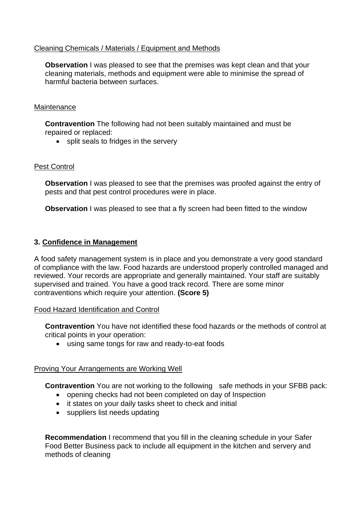#### Cleaning Chemicals / Materials / Equipment and Methods

**Observation** I was pleased to see that the premises was kept clean and that your cleaning materials, methods and equipment were able to minimise the spread of harmful bacteria between surfaces.

#### **Maintenance**

**Contravention** The following had not been suitably maintained and must be repaired or replaced:

• split seals to fridges in the servery

#### Pest Control

**Observation** I was pleased to see that the premises was proofed against the entry of pests and that pest control procedures were in place.

**Observation** I was pleased to see that a fly screen had been fitted to the window

#### **3. Confidence in Management**

 of compliance with the law. Food hazards are understood properly controlled managed and reviewed. Your records are appropriate and generally maintained. Your staff are suitably A food safety management system is in place and you demonstrate a very good standard supervised and trained. You have a good track record. There are some minor contraventions which require your attention. **(Score 5)** 

#### Food Hazard Identification and Control

**Contravention** You have not identified these food hazards or the methods of control at critical points in your operation:

• using same tongs for raw and ready-to-eat foods

#### Proving Your Arrangements are Working Well

**Contravention** You are not working to the following safe methods in your SFBB pack:

- opening checks had not been completed on day of Inspection
- it states on your daily tasks sheet to check and initial
- suppliers list needs updating

**Recommendation** I recommend that you fill in the cleaning schedule in your Safer Food Better Business pack to include all equipment in the kitchen and servery and methods of cleaning